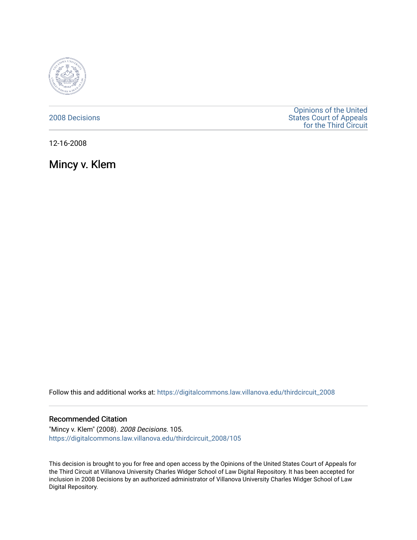

## [2008 Decisions](https://digitalcommons.law.villanova.edu/thirdcircuit_2008)

[Opinions of the United](https://digitalcommons.law.villanova.edu/thirdcircuit)  [States Court of Appeals](https://digitalcommons.law.villanova.edu/thirdcircuit)  [for the Third Circuit](https://digitalcommons.law.villanova.edu/thirdcircuit) 

12-16-2008

Mincy v. Klem

Follow this and additional works at: [https://digitalcommons.law.villanova.edu/thirdcircuit\\_2008](https://digitalcommons.law.villanova.edu/thirdcircuit_2008?utm_source=digitalcommons.law.villanova.edu%2Fthirdcircuit_2008%2F105&utm_medium=PDF&utm_campaign=PDFCoverPages) 

## Recommended Citation

"Mincy v. Klem" (2008). 2008 Decisions. 105. [https://digitalcommons.law.villanova.edu/thirdcircuit\\_2008/105](https://digitalcommons.law.villanova.edu/thirdcircuit_2008/105?utm_source=digitalcommons.law.villanova.edu%2Fthirdcircuit_2008%2F105&utm_medium=PDF&utm_campaign=PDFCoverPages)

This decision is brought to you for free and open access by the Opinions of the United States Court of Appeals for the Third Circuit at Villanova University Charles Widger School of Law Digital Repository. It has been accepted for inclusion in 2008 Decisions by an authorized administrator of Villanova University Charles Widger School of Law Digital Repository.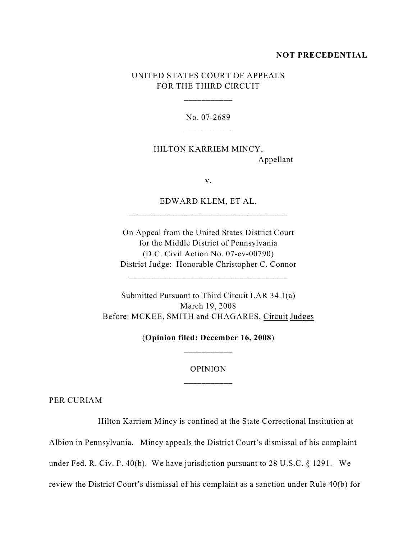#### **NOT PRECEDENTIAL**

# UNITED STATES COURT OF APPEALS FOR THE THIRD CIRCUIT

\_\_\_\_\_\_\_\_\_\_\_

No. 07-2689

HILTON KARRIEM MINCY, Appellant

v.

EDWARD KLEM, ET AL. \_\_\_\_\_\_\_\_\_\_\_\_\_\_\_\_\_\_\_\_\_\_\_\_\_\_\_\_\_\_\_\_\_\_\_\_

On Appeal from the United States District Court for the Middle District of Pennsylvania (D.C. Civil Action No. 07-cv-00790) District Judge: Honorable Christopher C. Connor

\_\_\_\_\_\_\_\_\_\_\_\_\_\_\_\_\_\_\_\_\_\_\_\_\_\_\_\_\_\_\_\_\_\_\_\_

Submitted Pursuant to Third Circuit LAR 34.1(a) March 19, 2008 Before: MCKEE, SMITH and CHAGARES, Circuit Judges

> (**Opinion filed: December 16, 2008**) \_\_\_\_\_\_\_\_\_\_\_

# OPINION \_\_\_\_\_\_\_\_\_\_\_

PER CURIAM

Hilton Karriem Mincy is confined at the State Correctional Institution at

Albion in Pennsylvania. Mincy appeals the District Court's dismissal of his complaint

under Fed. R. Civ. P. 40(b). We have jurisdiction pursuant to 28 U.S.C. § 1291. We

review the District Court's dismissal of his complaint as a sanction under Rule 40(b) for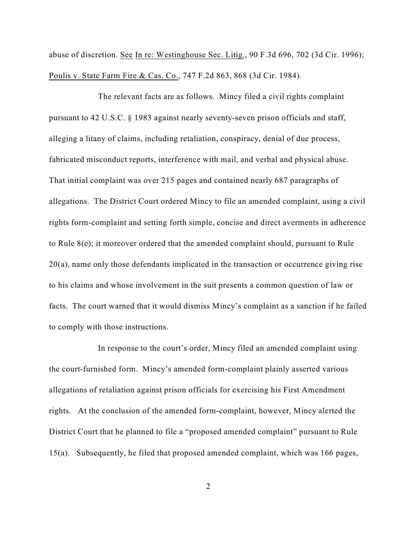abuse of discretion. See In re: Westinghouse Sec. Litig., 90 F.3d 696, 702 (3d Cir. 1996); Poulis v. State Farm Fire & Cas. Co., 747 F.2d 863, 868 (3d Cir. 1984).

The relevant facts are as follows. Mincy filed a civil rights complaint pursuant to 42 U.S.C. § 1983 against nearly seventy-seven prison officials and staff, alleging a litany of claims, including retaliation, conspiracy, denial of due process, fabricated misconduct reports, interference with mail, and verbal and physical abuse. That initial complaint was over 215 pages and contained nearly 687 paragraphs of allegations. The District Court ordered Mincy to file an amended complaint, using a civil rights form-complaint and setting forth simple, concise and direct averments in adherence to Rule 8(e); it moreover ordered that the amended complaint should, pursuant to Rule 20(a), name only those defendants implicated in the transaction or occurrence giving rise to his claims and whose involvement in the suit presents a common question of law or facts. The court warned that it would dismiss Mincy's complaint as a sanction if he failed to comply with those instructions.

In response to the court's order, Mincy filed an amended complaint using the court-furnished form. Mincy's amended form-complaint plainly asserted various allegations of retaliation against prison officials for exercising his First Amendment rights. At the conclusion of the amended form-complaint, however, Mincy alerted the District Court that he planned to file a "proposed amended complaint" pursuant to Rule 15(a). Subsequently, he filed that proposed amended complaint, which was 166 pages,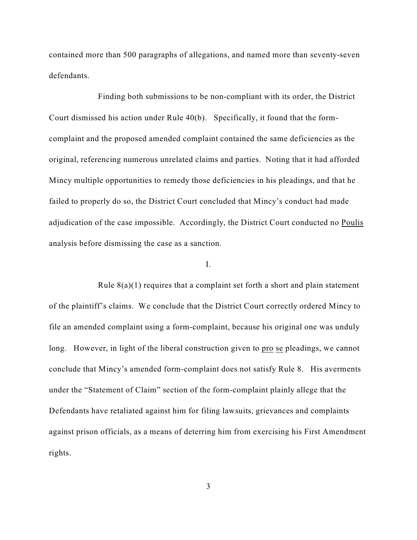contained more than 500 paragraphs of allegations, and named more than seventy-seven defendants.

Finding both submissions to be non-compliant with its order, the District Court dismissed his action under Rule 40(b). Specifically, it found that the formcomplaint and the proposed amended complaint contained the same deficiencies as the original, referencing numerous unrelated claims and parties. Noting that it had afforded Mincy multiple opportunities to remedy those deficiencies in his pleadings, and that he failed to properly do so, the District Court concluded that Mincy's conduct had made adjudication of the case impossible. Accordingly, the District Court conducted no Poulis analysis before dismissing the case as a sanction.

### I.

Rule  $8(a)(1)$  requires that a complaint set forth a short and plain statement of the plaintiff's claims. We conclude that the District Court correctly ordered Mincy to file an amended complaint using a form-complaint, because his original one was unduly long. However, in light of the liberal construction given to pro se pleadings, we cannot conclude that Mincy's amended form-complaint does not satisfy Rule 8. His averments under the "Statement of Claim" section of the form-complaint plainly allege that the Defendants have retaliated against him for filing lawsuits, grievances and complaints against prison officials, as a means of deterring him from exercising his First Amendment rights.

3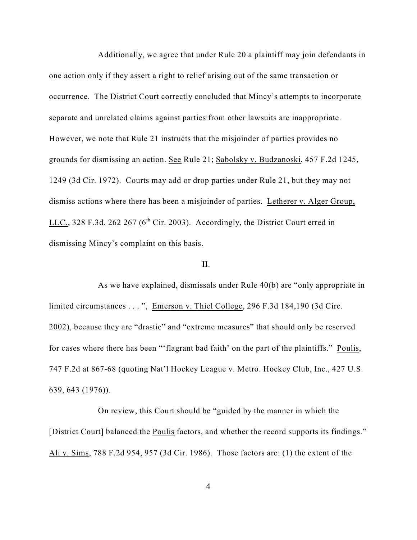Additionally, we agree that under Rule 20 a plaintiff may join defendants in one action only if they assert a right to relief arising out of the same transaction or occurrence. The District Court correctly concluded that Mincy's attempts to incorporate separate and unrelated claims against parties from other lawsuits are inappropriate. However, we note that Rule 21 instructs that the misjoinder of parties provides no grounds for dismissing an action. See Rule 21; Sabolsky v. Budzanoski, 457 F.2d 1245, 1249 (3d Cir. 1972). Courts may add or drop parties under Rule 21, but they may not dismiss actions where there has been a misjoinder of parties. Letherer v. Alger Group, LLC., 328 F.3d. 262 267 ( $6<sup>th</sup>$  Cir. 2003). Accordingly, the District Court erred in dismissing Mincy's complaint on this basis.

### II.

As we have explained, dismissals under Rule 40(b) are "only appropriate in limited circumstances . . . ", Emerson v. Thiel College, 296 F.3d 184,190 (3d Circ. 2002), because they are "drastic" and "extreme measures" that should only be reserved for cases where there has been "'flagrant bad faith' on the part of the plaintiffs." Poulis, 747 F.2d at 867-68 (quoting Nat'l Hockey League v. Metro. Hockey Club, Inc., 427 U.S. 639, 643 (1976)).

On review, this Court should be "guided by the manner in which the [District Court] balanced the **Poulis** factors, and whether the record supports its findings." Ali v. Sims, 788 F.2d 954, 957 (3d Cir. 1986). Those factors are: (1) the extent of the